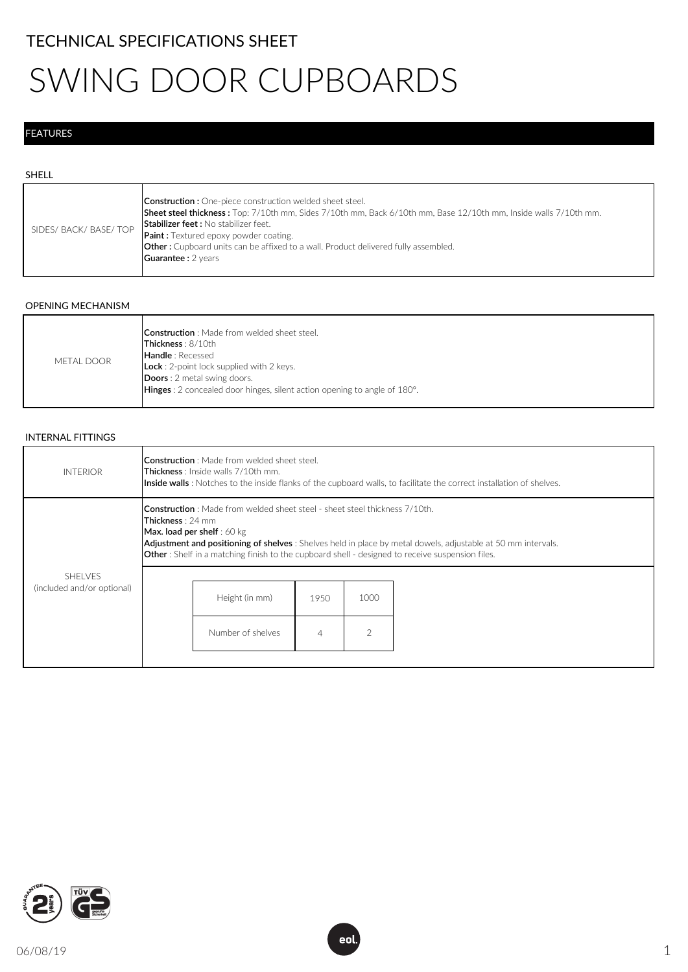# SWING DOOR CUPBOARDS

## FEATURES

### SHELL

| SIDES/ BACK/ BASE/ TOP | <b>Construction :</b> One-piece construction welded sheet steel.<br><b>Sheet steel thickness:</b> Top: 7/10th mm, Sides 7/10th mm, Back 6/10th mm, Base 12/10th mm, Inside walls 7/10th mm.<br>Stabilizer feet: No stabilizer feet.<br><b>Paint:</b> Textured epoxy powder coating.<br><b>Other:</b> Cupboard units can be affixed to a wall. Product delivered fully assembled.<br>Guarantee: 2 years |
|------------------------|--------------------------------------------------------------------------------------------------------------------------------------------------------------------------------------------------------------------------------------------------------------------------------------------------------------------------------------------------------------------------------------------------------|
|------------------------|--------------------------------------------------------------------------------------------------------------------------------------------------------------------------------------------------------------------------------------------------------------------------------------------------------------------------------------------------------------------------------------------------------|

#### OPENING MECHANISM

| METAL DOOR | <b>Construction</b> : Made from welded sheet steel.<br>Thickness: 8/10th<br>Handle: Recessed<br>Lock: 2-point lock supplied with 2 keys.<br><b>Doors</b> : 2 metal swing doors.<br><b>Hinges</b> : 2 concealed door hinges, silent action opening to angle of $180^\circ$ . |  |  |
|------------|-----------------------------------------------------------------------------------------------------------------------------------------------------------------------------------------------------------------------------------------------------------------------------|--|--|
|------------|-----------------------------------------------------------------------------------------------------------------------------------------------------------------------------------------------------------------------------------------------------------------------------|--|--|

### INTERNAL FITTINGS

| <b>INTERIOR</b>                              | <b>Construction</b> : Made from welded sheet steel.<br><b>Thickness</b> : Inside walls 7/10th mm.<br><b>Inside walls</b> : Notches to the inside flanks of the cupboard walls, to facilitate the correct installation of shelves. |                                                                                                                                    |                |               |                                                                                                                                                                                                                                 |
|----------------------------------------------|-----------------------------------------------------------------------------------------------------------------------------------------------------------------------------------------------------------------------------------|------------------------------------------------------------------------------------------------------------------------------------|----------------|---------------|---------------------------------------------------------------------------------------------------------------------------------------------------------------------------------------------------------------------------------|
|                                              | <b>Thickness</b> : $24 \text{ mm}$                                                                                                                                                                                                | <b>Construction</b> : Made from welded sheet steel - sheet steel thickness 7/10th.<br><b>Max. load per shelf</b> : $60 \text{ kg}$ |                |               | <b>Adjustment and positioning of shelves</b> : Shelves held in place by metal dowels, adjustable at 50 mm intervals.<br><b>Other</b> : Shelf in a matching finish to the cupboard shell - designed to receive suspension files. |
| <b>SHELVES</b><br>(included and/or optional) |                                                                                                                                                                                                                                   |                                                                                                                                    |                |               |                                                                                                                                                                                                                                 |
|                                              |                                                                                                                                                                                                                                   | Height (in mm)                                                                                                                     | 1950           | 1000          |                                                                                                                                                                                                                                 |
|                                              |                                                                                                                                                                                                                                   | Number of shelves                                                                                                                  | $\overline{4}$ | $\mathcal{P}$ |                                                                                                                                                                                                                                 |
|                                              |                                                                                                                                                                                                                                   |                                                                                                                                    |                |               |                                                                                                                                                                                                                                 |

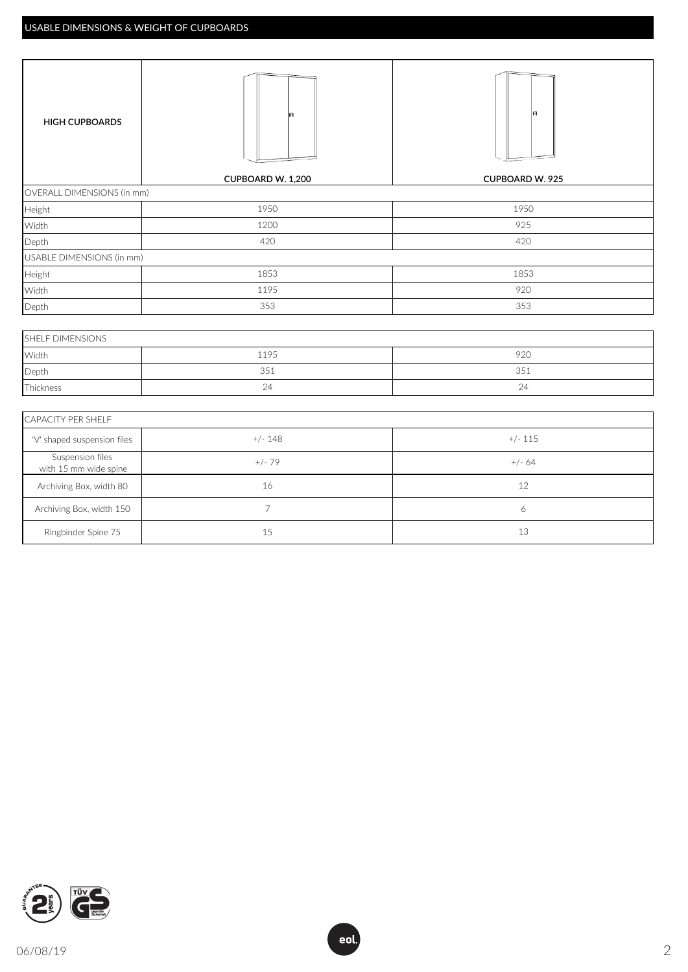| <b>HIGH CUPBOARDS</b>                     | n<br>CUPBOARD W. 1,200 | la.<br>CUPBOARD W. 925 |
|-------------------------------------------|------------------------|------------------------|
| OVERALL DIMENSIONS (in mm)                |                        |                        |
| Height                                    | 1950                   | 1950                   |
| Width                                     | 1200                   | 925                    |
| Depth                                     | 420                    | 420                    |
| USABLE DIMENSIONS (in mm)                 |                        |                        |
| Height                                    | 1853                   | 1853                   |
| Width                                     | 1195                   | 920                    |
| Depth                                     | 353                    | 353                    |
|                                           |                        |                        |
| SHELF DIMENSIONS                          |                        |                        |
| Width                                     | 1195                   | 920                    |
| Depth                                     | 351                    | 351                    |
| Thickness                                 | 24                     | 24                     |
|                                           |                        |                        |
| CAPACITY PER SHELF                        |                        |                        |
| 'V' shaped suspension files               | $+/- 148$              | $+/- 115$              |
| Suspension files<br>with 15 mm wide spine | $+/- 79$               | $+/- 64$               |
| Archiving Box, width 80                   | 16                     | 12                     |
| Archiving Box, width 150                  | $\overline{7}$         | 6                      |
| Ringbinder Spine 75                       | 15                     | 13                     |